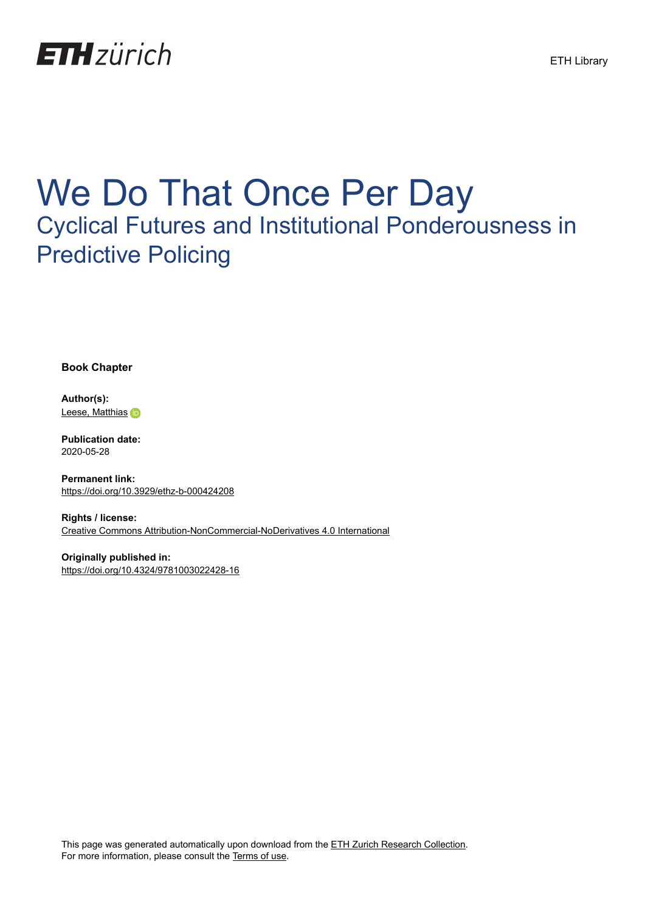

# We Do That Once Per Day Cyclical Futures and Institutional Ponderousness in Predictive Policing

**Book Chapter**

**Author(s):** [Leese, Matthias](https://orcid.org/0000-0002-7153-7783) in

**Publication date:** 2020-05-28

**Permanent link:** <https://doi.org/10.3929/ethz-b-000424208>

**Rights / license:** [Creative Commons Attribution-NonCommercial-NoDerivatives 4.0 International](http://creativecommons.org/licenses/by-nc-nd/4.0/)

**Originally published in:** <https://doi.org/10.4324/9781003022428-16>

This page was generated automatically upon download from the [ETH Zurich Research Collection.](https://www.research-collection.ethz.ch) For more information, please consult the [Terms of use](https://www.research-collection.ethz.ch/terms-of-use).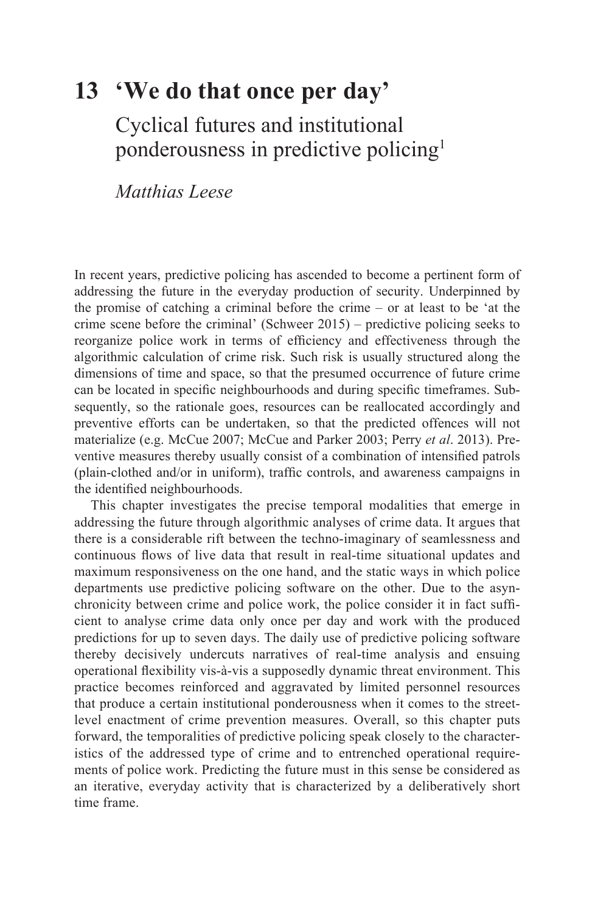# **[13 'We do that once per day'](#page--1-0)**

Cyclical futures and institutional ponderousness in predictive policin[g1](#page--1-0) 

*Matthias Leese* 

In recent years, predictive policing has ascended to become a pertinent form of addressing the future in the everyday production of security. Underpinned by the promise of catching a criminal before the crime – or at least to be 'at the crime scene before the criminal' (Schweer 2015) – predictive policing seeks to reorganize police work in terms of efficiency and effectiveness through the algorithmic calculation of crime risk. Such risk is usually structured along the dimensions of time and space, so that the presumed occurrence of future crime can be located in specific neighbourhoods and during specific timeframes. Subsequently, so the rationale goes, resources can be reallocated accordingly and preventive efforts can be undertaken, so that the predicted offences will not materialize (e.g. McCue 2007; McCue and Parker 2003; Perry *et al*. 2013). Preventive measures thereby usually consist of a combination of intensified patrols (plain-clothed and/or in uniform), traffic controls, and awareness campaigns in the identified neighbourhoods.

This chapter investigates the precise temporal modalities that emerge in addressing the future through algorithmic analyses of crime data. It argues that there is a considerable rift between the techno-imaginary of seamlessness and continuous flows of live data that result in real-time situational updates and maximum responsiveness on the one hand, and the static ways in which police departments use predictive policing software on the other. Due to the asynchronicity between crime and police work, the police consider it in fact sufficient to analyse crime data only once per day and work with the produced predictions for up to seven days. The daily use of predictive policing software thereby decisively undercuts narratives of real-time analysis and ensuing operational flexibility vis-à-vis a supposedly dynamic threat environment. This practice becomes reinforced and aggravated by limited personnel resources that produce a certain institutional ponderousness when it comes to the streetlevel enactment of crime prevention measures. Overall, so this chapter puts forward, the temporalities of predictive policing speak closely to the characteristics of the addressed type of crime and to entrenched operational requirements of police work. Predicting the future must in this sense be considered as an iterative, everyday activity that is characterized by a deliberatively short time frame.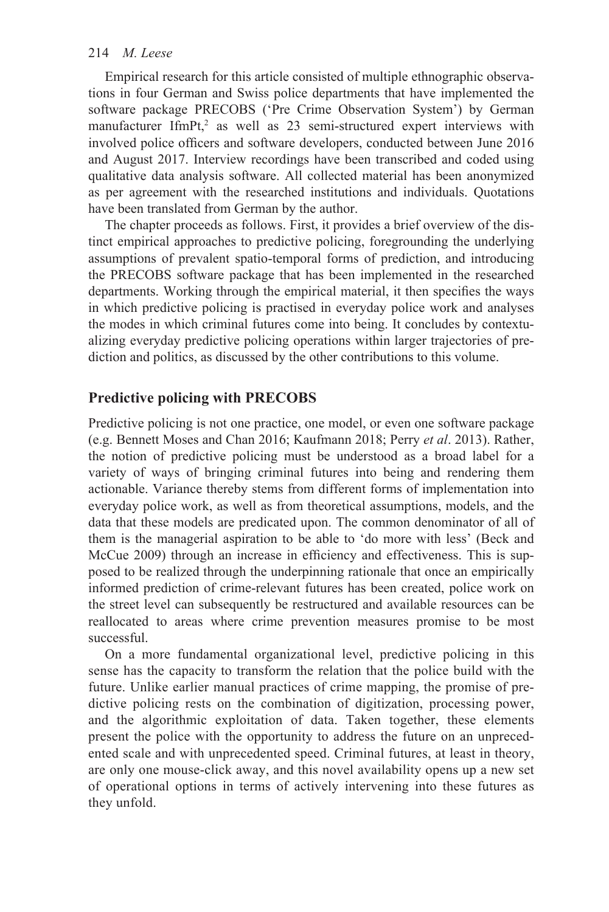Empirical research for this article consisted of multiple ethnographic observations in four German and Swiss police departments that have implemented the software package PRECOBS ('Pre Crime Observation System') by German manufacturer IfmPt, $2$  as well as 23 semi-structured expert interviews with involved police officers and software developers, conducted between June 2016 and August 2017. Interview recordings have been transcribed and coded using qualitative data analysis software. All collected material has been anonymized as per agreement with the researched institutions and individuals. Quotations have been translated from German by the author.

The chapter proceeds as follows. First, it provides a brief overview of the distinct empirical approaches to predictive policing, foregrounding the underlying assumptions of prevalent spatio-temporal forms of prediction, and introducing the PRECOBS software package that has been implemented in the researched departments. Working through the empirical material, it then specifies the ways in which predictive policing is practised in everyday police work and analyses the modes in which criminal futures come into being. It concludes by contextualizing everyday predictive policing operations within larger trajectories of prediction and politics, as discussed by the other contributions to this volume.

# **Predictive policing with PRECOBS**

Predictive policing is not one practice, one model, or even one software package (e.g. Bennett Moses and Chan 2016; Kaufmann 2018; Perry *et al*. 2013). Rather, the notion of predictive policing must be understood as a broad label for a variety of ways of bringing criminal futures into being and rendering them actionable. Variance thereby stems from different forms of implementation into everyday police work, as well as from theoretical assumptions, models, and the data that these models are predicated upon. The common denominator of all of them is the managerial aspiration to be able to 'do more with less' (Beck and McCue 2009) through an increase in efficiency and effectiveness. This is supposed to be realized through the underpinning rationale that once an empirically informed prediction of crime-relevant futures has been created, police work on the street level can subsequently be restructured and available resources can be reallocated to areas where crime prevention measures promise to be most successful.

On a more fundamental organizational level, predictive policing in this sense has the capacity to transform the relation that the police build with the future. Unlike earlier manual practices of crime mapping, the promise of predictive policing rests on the combination of digitization, processing power, and the algorithmic exploitation of data. Taken together, these elements present the police with the opportunity to address the future on an unprecedented scale and with unprecedented speed. Criminal futures, at least in theory, are only one mouse-click away, and this novel availability opens up a new set of operational options in terms of actively intervening into these futures as they unfold.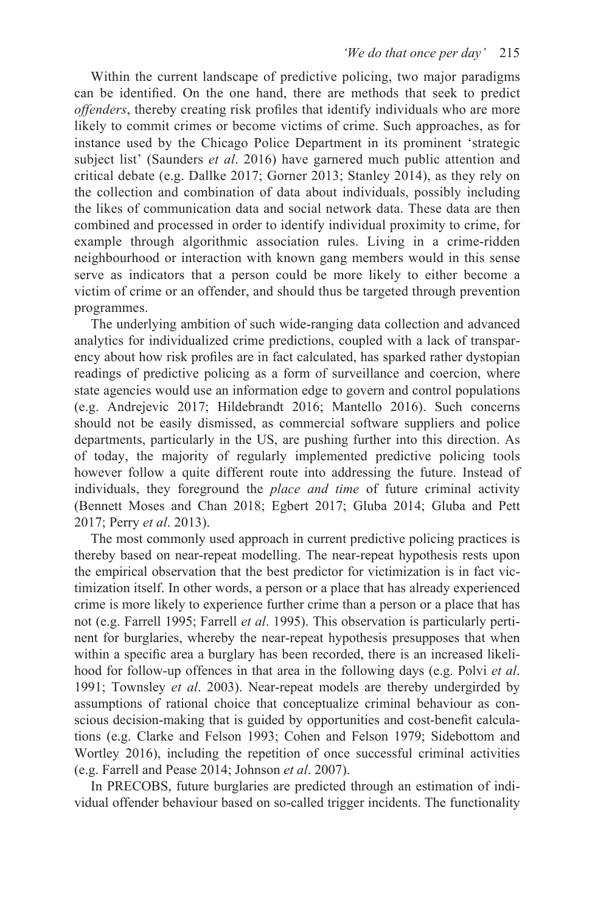Within the current landscape of predictive policing, two major paradigms can be identified. On the one hand, there are methods that seek to predict *offenders*, thereby creating risk profiles that identify individuals who are more likely to commit crimes or become victims of crime. Such approaches, as for instance used by the Chicago Police Department in its prominent 'strategic subject list' (Saunders *et al*. 2016) have garnered much public attention and critical debate (e.g. Dallke 2017; Gorner 2013; Stanley 2014), as they rely on the collection and combination of data about individuals, possibly including the likes of communication data and social network data. These data are then combined and processed in order to identify individual proximity to crime, for example through algorithmic association rules. Living in a crime-ridden neighbourhood or interaction with known gang members would in this sense serve as indicators that a person could be more likely to either become a victim of crime or an offender, and should thus be targeted through prevention programmes.

The underlying ambition of such wide-ranging data collection and advanced analytics for individualized crime predictions, coupled with a lack of transparency about how risk profiles are in fact calculated, has sparked rather dystopian readings of predictive policing as a form of surveillance and coercion, where state agencies would use an information edge to govern and control populations (e.g. Andrejevic 2017; Hildebrandt 2016; Mantello 2016). Such concerns should not be easily dismissed, as commercial software suppliers and police departments, particularly in the US, are pushing further into this direction. As of today, the majority of regularly implemented predictive policing tools however follow a quite different route into addressing the future. Instead of individuals, they foreground the *place and time* of future criminal activity (Bennett Moses and Chan 2018; Egbert 2017; Gluba 2014; Gluba and Pett 2017; Perry *et al*. 2013).

The most commonly used approach in current predictive policing practices is thereby based on near-repeat modelling. The near-repeat hypothesis rests upon the empirical observation that the best predictor for victimization is in fact victimization itself. In other words, a person or a place that has already experienced crime is more likely to experience further crime than a person or a place that has not (e.g. Farrell 1995; Farrell *et al*. 1995). This observation is particularly pertinent for burglaries, whereby the near-repeat hypothesis presupposes that when within a specific area a burglary has been recorded, there is an increased likelihood for follow-up offences in that area in the following days (e.g. Polvi *et al*. 1991; Townsley *et al*. 2003). Near-repeat models are thereby undergirded by assumptions of rational choice that conceptualize criminal behaviour as conscious decision-making that is guided by opportunities and cost-benefit calculations (e.g. Clarke and Felson 1993; Cohen and Felson 1979; Sidebottom and Wortley 2016), including the repetition of once successful criminal activities (e.g. Farrell and Pease 2014; Johnson *et al*. 2007).

In PRECOBS, future burglaries are predicted through an estimation of individual offender behaviour based on so-called trigger incidents. The functionality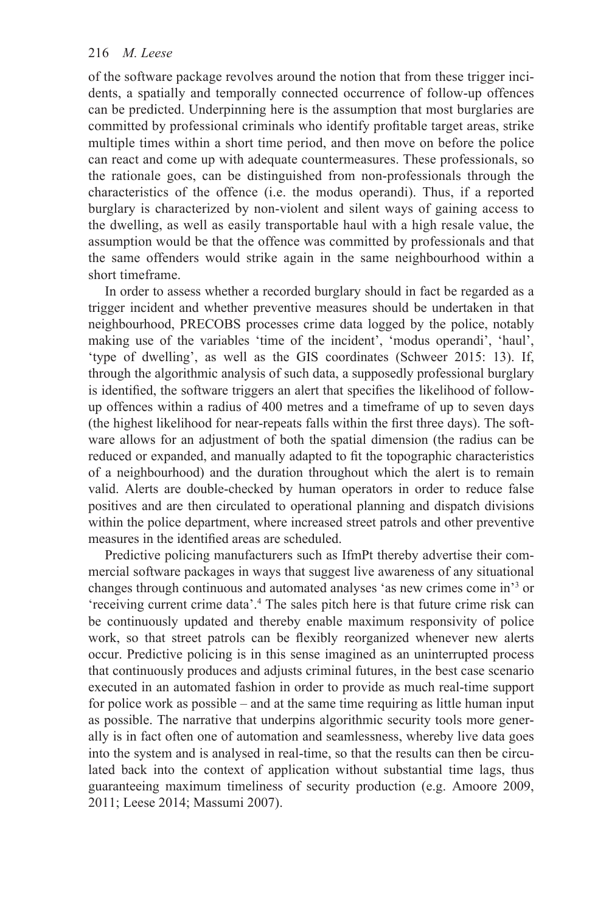of the software package revolves around the notion that from these trigger incidents, a spatially and temporally connected occurrence of follow-up offences can be predicted. Underpinning here is the assumption that most burglaries are committed by professional criminals who identify profitable target areas, strike multiple times within a short time period, and then move on before the police can react and come up with adequate countermeasures. These professionals, so the rationale goes, can be distinguished from non-professionals through the characteristics of the offence (i.e. the modus operandi). Thus, if a reported burglary is characterized by non-violent and silent ways of gaining access to the dwelling, as well as easily transportable haul with a high resale value, the assumption would be that the offence was committed by professionals and that the same offenders would strike again in the same neighbourhood within a short timeframe.

In order to assess whether a recorded burglary should in fact be regarded as a trigger incident and whether preventive measures should be undertaken in that neighbourhood, PRECOBS processes crime data logged by the police, notably making use of the variables 'time of the incident', 'modus operandi', 'haul', 'type of dwelling', as well as the GIS coordinates (Schweer 2015: 13). If, through the algorithmic analysis of such data, a supposedly professional burglary is identified, the software triggers an alert that specifies the likelihood of followup offences within a radius of 400 metres and a timeframe of up to seven days (the highest likelihood for near-repeats falls within the first three days). The software allows for an adjustment of both the spatial dimension (the radius can be reduced or expanded, and manually adapted to fit the topographic characteristics of a neighbourhood) and the duration throughout which the alert is to remain valid. Alerts are double-checked by human operators in order to reduce false positives and are then circulated to operational planning and dispatch divisions within the police department, where increased street patrols and other preventive measures in the identified areas are scheduled.

Predictive policing manufacturers such as IfmPt thereby advertise their commercial software packages in ways that suggest live awareness of any situational changes through continuous and automated analyses 'as new crimes come in['3](#page--1-0) or 'receiving current crime data'.[4](#page--1-0) The sales pitch here is that future crime risk can be continuously updated and thereby enable maximum responsivity of police work, so that street patrols can be flexibly reorganized whenever new alerts occur. Predictive policing is in this sense imagined as an uninterrupted process that continuously produces and adjusts criminal futures, in the best case scenario executed in an automated fashion in order to provide as much real-time support for police work as possible – and at the same time requiring as little human input as possible. The narrative that underpins algorithmic security tools more generally is in fact often one of automation and seamlessness, whereby live data goes into the system and is analysed in real-time, so that the results can then be circulated back into the context of application without substantial time lags, thus guaranteeing maximum timeliness of security production (e.g. Amoore 2009, 2011; Leese 2014; Massumi 2007).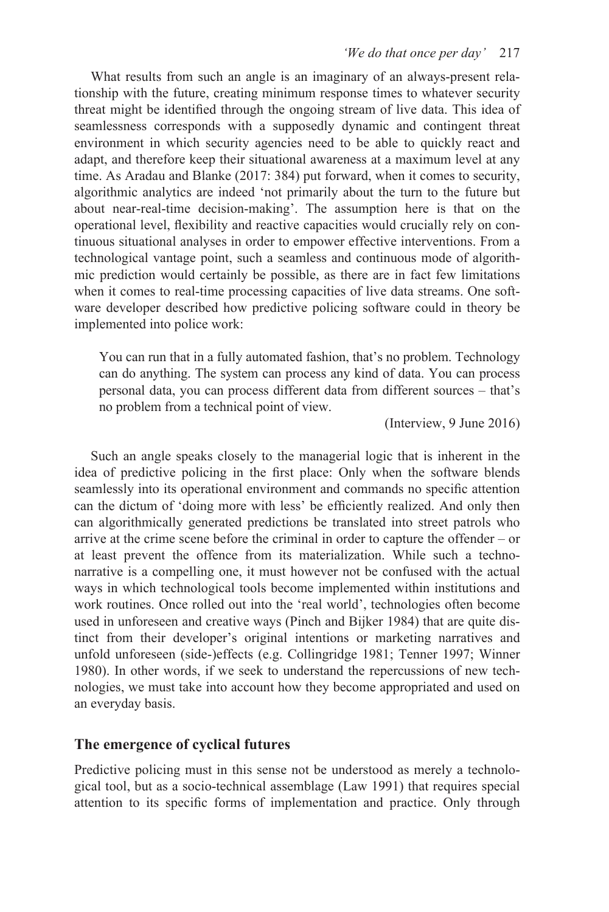What results from such an angle is an imaginary of an always-present relationship with the future, creating minimum response times to whatever security threat might be identified through the ongoing stream of live data. This idea of seamlessness corresponds with a supposedly dynamic and contingent threat environment in which security agencies need to be able to quickly react and adapt, and therefore keep their situational awareness at a maximum level at any time. As Aradau and Blanke (2017: 384) put forward, when it comes to security, algorithmic analytics are indeed 'not primarily about the turn to the future but about near-real-time decision-making'. The assumption here is that on the operational level, flexibility and reactive capacities would crucially rely on continuous situational analyses in order to empower effective interventions. From a technological vantage point, such a seamless and continuous mode of algorithmic prediction would certainly be possible, as there are in fact few limitations when it comes to real-time processing capacities of live data streams. One software developer described how predictive policing software could in theory be implemented into police work:

You can run that in a fully automated fashion, that's no problem. Technology can do anything. The system can process any kind of data. You can process personal data, you can process different data from different sources – that's no problem from a technical point of view.

(Interview, 9 June 2016)

Such an angle speaks closely to the managerial logic that is inherent in the idea of predictive policing in the first place: Only when the software blends seamlessly into its operational environment and commands no specific attention can the dictum of 'doing more with less' be efficiently realized. And only then can algorithmically generated predictions be translated into street patrols who arrive at the crime scene before the criminal in order to capture the offender – or at least prevent the offence from its materialization. While such a technonarrative is a compelling one, it must however not be confused with the actual ways in which technological tools become implemented within institutions and work routines. Once rolled out into the 'real world', technologies often become used in unforeseen and creative ways (Pinch and Bijker 1984) that are quite distinct from their developer's original intentions or marketing narratives and unfold unforeseen (side-)effects (e.g. Collingridge 1981; Tenner 1997; Winner 1980). In other words, if we seek to understand the repercussions of new technologies, we must take into account how they become appropriated and used on an everyday basis.

# **The emergence of cyclical futures**

Predictive policing must in this sense not be understood as merely a technological tool, but as a socio-technical assemblage (Law 1991) that requires special attention to its specific forms of implementation and practice. Only through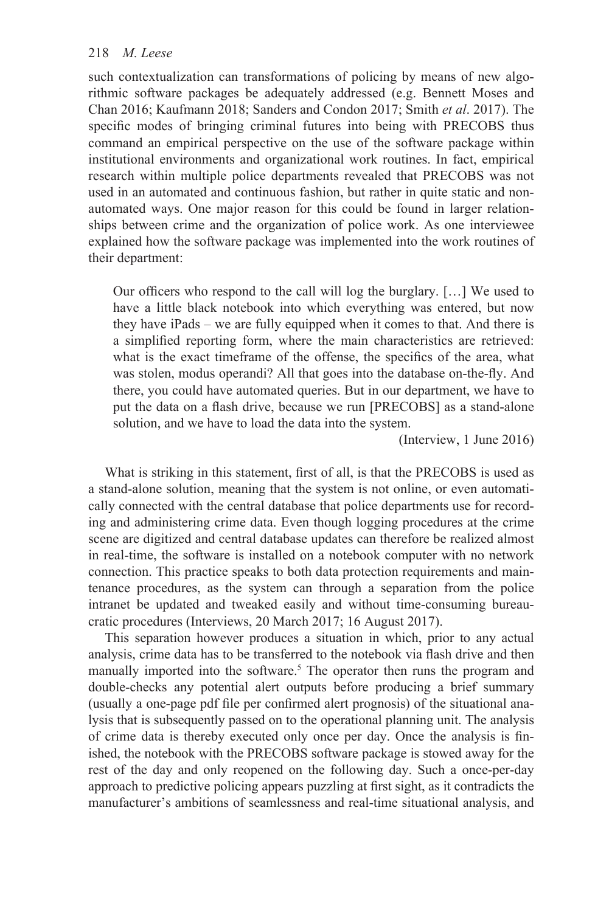such contextualization can transformations of policing by means of new algorithmic software packages be adequately addressed (e.g. Bennett Moses and Chan 2016; Kaufmann 2018; Sanders and Condon 2017; Smith *et al*. 2017). The specific modes of bringing criminal futures into being with PRECOBS thus command an empirical perspective on the use of the software package within institutional environments and organizational work routines. In fact, empirical research within multiple police departments revealed that PRECOBS was not used in an automated and continuous fashion, but rather in quite static and nonautomated ways. One major reason for this could be found in larger relationships between crime and the organization of police work. As one interviewee explained how the software package was implemented into the work routines of their department:

Our officers who respond to the call will log the burglary. […] We used to have a little black notebook into which everything was entered, but now they have iPads – we are fully equipped when it comes to that. And there is a simplified reporting form, where the main characteristics are retrieved: what is the exact timeframe of the offense, the specifics of the area, what was stolen, modus operandi? All that goes into the database on-the-fly. And there, you could have automated queries. But in our department, we have to put the data on a flash drive, because we run [PRECOBS] as a stand-alone solution, and we have to load the data into the system.

(Interview, 1 June 2016)

What is striking in this statement, first of all, is that the PRECOBS is used as a stand-alone solution, meaning that the system is not online, or even automatically connected with the central database that police departments use for recording and administering crime data. Even though logging procedures at the crime scene are digitized and central database updates can therefore be realized almost in real-time, the software is installed on a notebook computer with no network connection. This practice speaks to both data protection requirements and maintenance procedures, as the system can through a separation from the police intranet be updated and tweaked easily and without time-consuming bureaucratic procedures (Interviews, 20 March 2017; 16 August 2017).

This separation however produces a situation in which, prior to any actual analysis, crime data has to be transferred to the notebook via flash drive and then manually imported into the software[.](#page--1-0)<sup>5</sup> The operator then runs the program and double-checks any potential alert outputs before producing a brief summary (usually a one-page pdf file per confirmed alert prognosis) of the situational analysis that is subsequently passed on to the operational planning unit. The analysis of crime data is thereby executed only once per day. Once the analysis is finished, the notebook with the PRECOBS software package is stowed away for the rest of the day and only reopened on the following day. Such a once-per-day approach to predictive policing appears puzzling at first sight, as it contradicts the manufacturer's ambitions of seamlessness and real-time situational analysis, and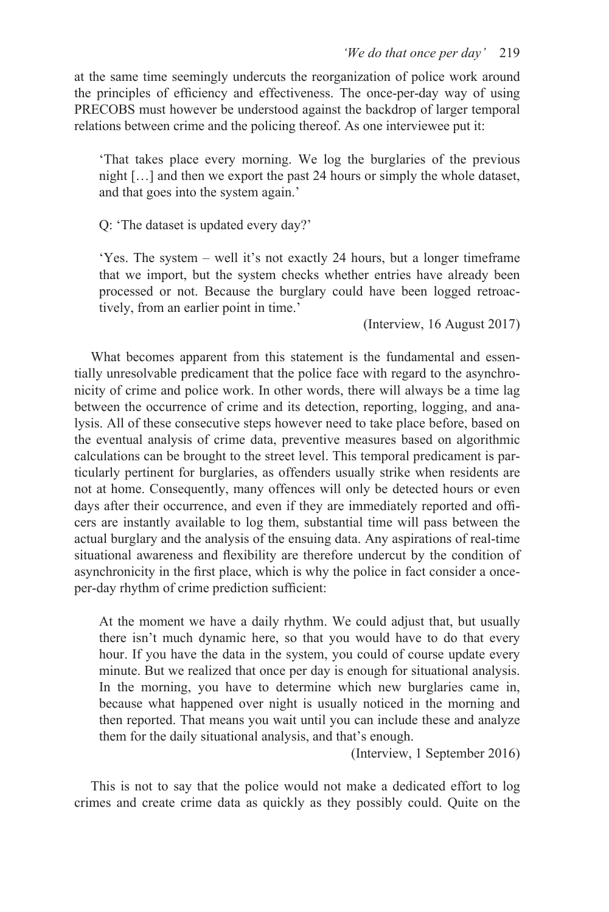at the same time seemingly undercuts the reorganization of police work around the principles of efficiency and effectiveness. The once-per-day way of using PRECOBS must however be understood against the backdrop of larger temporal relations between crime and the policing thereof. As one interviewee put it:

'That takes place every morning. We log the burglaries of the previous night […] and then we export the past 24 hours or simply the whole dataset, and that goes into the system again.'

Q: 'The dataset is updated every day?'

'Yes. The system – well it's not exactly 24 hours, but a longer timeframe that we import, but the system checks whether entries have already been processed or not. Because the burglary could have been logged retroactively, from an earlier point in time.'

(Interview, 16 August 2017)

What becomes apparent from this statement is the fundamental and essentially unresolvable predicament that the police face with regard to the asynchronicity of crime and police work. In other words, there will always be a time lag between the occurrence of crime and its detection, reporting, logging, and analysis. All of these consecutive steps however need to take place before, based on the eventual analysis of crime data, preventive measures based on algorithmic calculations can be brought to the street level. This temporal predicament is particularly pertinent for burglaries, as offenders usually strike when residents are not at home. Consequently, many offences will only be detected hours or even days after their occurrence, and even if they are immediately reported and officers are instantly available to log them, substantial time will pass between the actual burglary and the analysis of the ensuing data. Any aspirations of real-time situational awareness and flexibility are therefore undercut by the condition of asynchronicity in the first place, which is why the police in fact consider a onceper-day rhythm of crime prediction sufficient:

At the moment we have a daily rhythm. We could adjust that, but usually there isn't much dynamic here, so that you would have to do that every hour. If you have the data in the system, you could of course update every minute. But we realized that once per day is enough for situational analysis. In the morning, you have to determine which new burglaries came in, because what happened over night is usually noticed in the morning and then reported. That means you wait until you can include these and analyze them for the daily situational analysis, and that's enough.

(Interview, 1 September 2016)

This is not to say that the police would not make a dedicated effort to log crimes and create crime data as quickly as they possibly could. Quite on the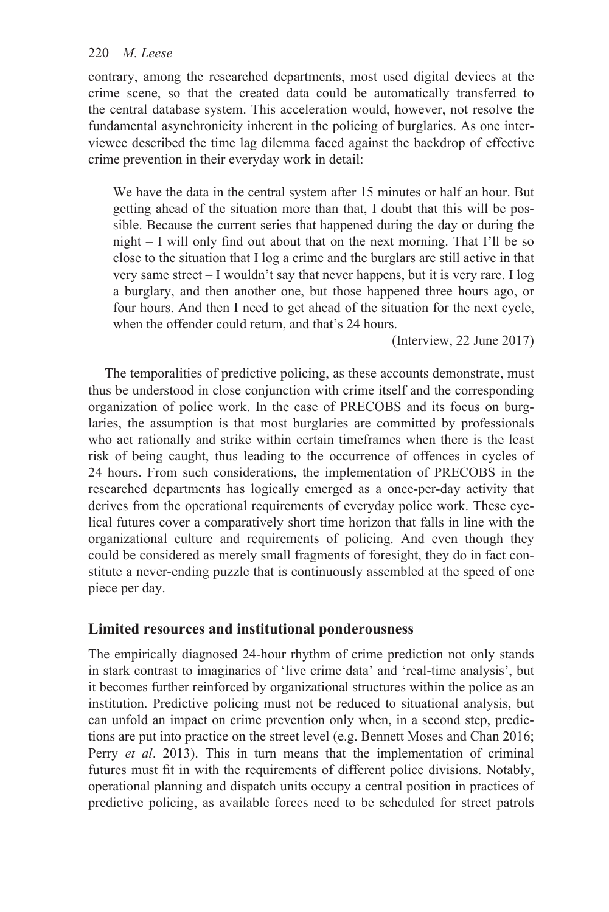contrary, among the researched departments, most used digital devices at the crime scene, so that the created data could be automatically transferred to the central database system. This acceleration would, however, not resolve the fundamental asynchronicity inherent in the policing of burglaries. As one interviewee described the time lag dilemma faced against the backdrop of effective crime prevention in their everyday work in detail:

We have the data in the central system after 15 minutes or half an hour. But getting ahead of the situation more than that, I doubt that this will be possible. Because the current series that happened during the day or during the night – I will only find out about that on the next morning. That I'll be so close to the situation that I log a crime and the burglars are still active in that very same street – I wouldn't say that never happens, but it is very rare. I log a burglary, and then another one, but those happened three hours ago, or four hours. And then I need to get ahead of the situation for the next cycle, when the offender could return, and that's 24 hours.

(Interview, 22 June 2017)

The temporalities of predictive policing, as these accounts demonstrate, must thus be understood in close conjunction with crime itself and the corresponding organization of police work. In the case of PRECOBS and its focus on burglaries, the assumption is that most burglaries are committed by professionals who act rationally and strike within certain timeframes when there is the least risk of being caught, thus leading to the occurrence of offences in cycles of 24 hours. From such considerations, the implementation of PRECOBS in the researched departments has logically emerged as a once-per-day activity that derives from the operational requirements of everyday police work. These cyclical futures cover a comparatively short time horizon that falls in line with the organizational culture and requirements of policing. And even though they could be considered as merely small fragments of foresight, they do in fact constitute a never-ending puzzle that is continuously assembled at the speed of one piece per day.

# **Limited resources and institutional ponderousness**

The empirically diagnosed 24-hour rhythm of crime prediction not only stands in stark contrast to imaginaries of 'live crime data' and 'real-time analysis', but it becomes further reinforced by organizational structures within the police as an institution. Predictive policing must not be reduced to situational analysis, but can unfold an impact on crime prevention only when, in a second step, predictions are put into practice on the street level (e.g. Bennett Moses and Chan 2016; Perry *et al*. 2013). This in turn means that the implementation of criminal futures must fit in with the requirements of different police divisions. Notably, operational planning and dispatch units occupy a central position in practices of predictive policing, as available forces need to be scheduled for street patrols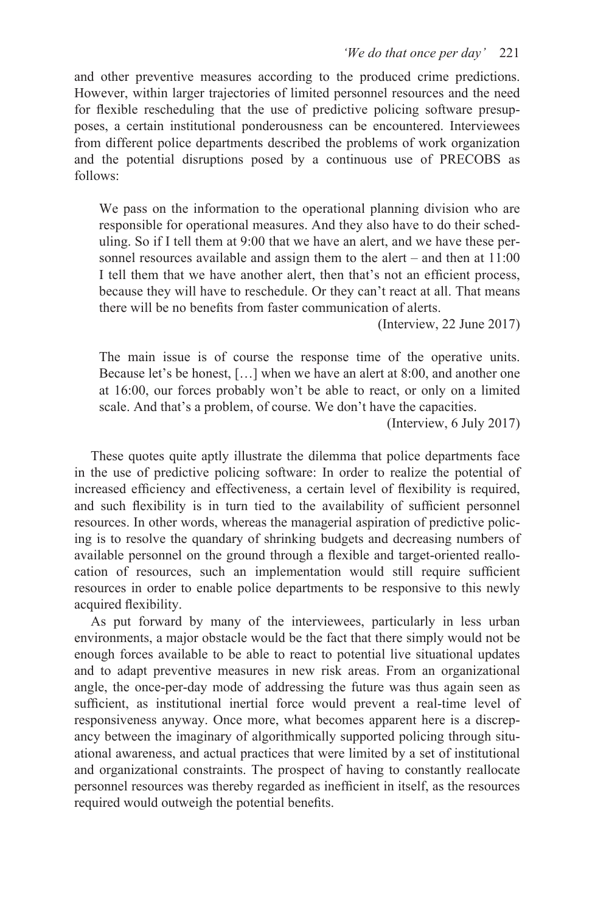and other preventive measures according to the produced crime predictions. However, within larger trajectories of limited personnel resources and the need for flexible rescheduling that the use of predictive policing software presupposes, a certain institutional ponderousness can be encountered. Interviewees from different police departments described the problems of work organization and the potential disruptions posed by a continuous use of PRECOBS as follows:

We pass on the information to the operational planning division who are responsible for operational measures. And they also have to do their scheduling. So if I tell them at 9:00 that we have an alert, and we have these personnel resources available and assign them to the alert – and then at 11:00 I tell them that we have another alert, then that's not an efficient process, because they will have to reschedule. Or they can't react at all. That means there will be no benefits from faster communication of alerts.

(Interview, 22 June 2017)

The main issue is of course the response time of the operative units. Because let's be honest, […] when we have an alert at 8:00, and another one at 16:00, our forces probably won't be able to react, or only on a limited scale. And that's a problem, of course. We don't have the capacities.

(Interview, 6 July 2017)

These quotes quite aptly illustrate the dilemma that police departments face in the use of predictive policing software: In order to realize the potential of increased efficiency and effectiveness, a certain level of flexibility is required, and such flexibility is in turn tied to the availability of sufficient personnel resources. In other words, whereas the managerial aspiration of predictive policing is to resolve the quandary of shrinking budgets and decreasing numbers of available personnel on the ground through a flexible and target-oriented reallocation of resources, such an implementation would still require sufficient resources in order to enable police departments to be responsive to this newly acquired flexibility.

As put forward by many of the interviewees, particularly in less urban environments, a major obstacle would be the fact that there simply would not be enough forces available to be able to react to potential live situational updates and to adapt preventive measures in new risk areas. From an organizational angle, the once-per-day mode of addressing the future was thus again seen as sufficient, as institutional inertial force would prevent a real-time level of responsiveness anyway. Once more, what becomes apparent here is a discrepancy between the imaginary of algorithmically supported policing through situational awareness, and actual practices that were limited by a set of institutional and organizational constraints. The prospect of having to constantly reallocate personnel resources was thereby regarded as inefficient in itself, as the resources required would outweigh the potential benefits.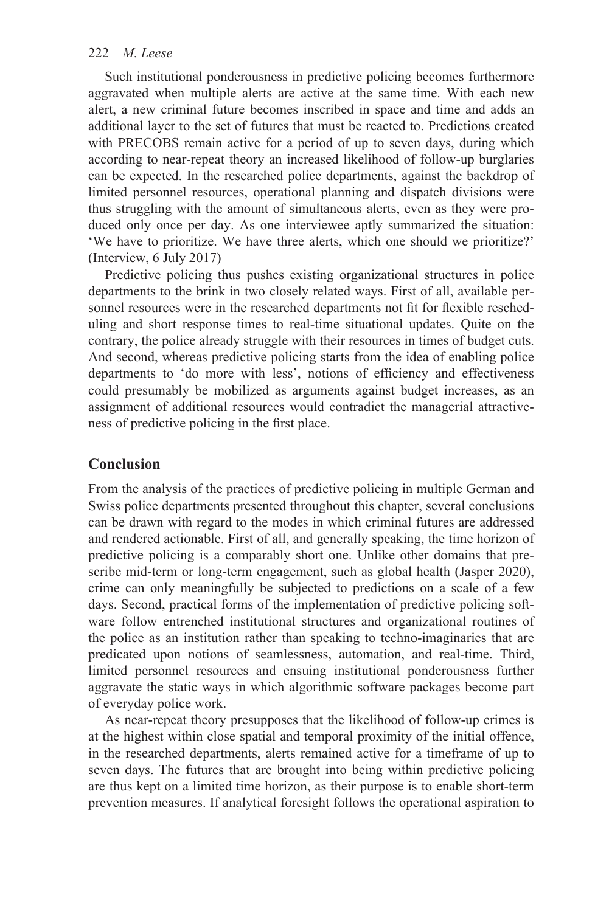Such institutional ponderousness in predictive policing becomes furthermore aggravated when multiple alerts are active at the same time. With each new alert, a new criminal future becomes inscribed in space and time and adds an additional layer to the set of futures that must be reacted to. Predictions created with PRECOBS remain active for a period of up to seven days, during which according to near-repeat theory an increased likelihood of follow-up burglaries can be expected. In the researched police departments, against the backdrop of limited personnel resources, operational planning and dispatch divisions were thus struggling with the amount of simultaneous alerts, even as they were produced only once per day. As one interviewee aptly summarized the situation: 'We have to prioritize. We have three alerts, which one should we prioritize?' (Interview, 6 July 2017)

Predictive policing thus pushes existing organizational structures in police departments to the brink in two closely related ways. First of all, available personnel resources were in the researched departments not fit for flexible rescheduling and short response times to real-time situational updates. Quite on the contrary, the police already struggle with their resources in times of budget cuts. And second, whereas predictive policing starts from the idea of enabling police departments to 'do more with less', notions of efficiency and effectiveness could presumably be mobilized as arguments against budget increases, as an assignment of additional resources would contradict the managerial attractiveness of predictive policing in the first place.

# **Conclusion**

From the analysis of the practices of predictive policing in multiple German and Swiss police departments presented throughout this chapter, several conclusions can be drawn with regard to the modes in which criminal futures are addressed and rendered actionable. First of all, and generally speaking, the time horizon of predictive policing is a comparably short one. Unlike other domains that prescribe mid-term or long-term engagement, such as global health (Jasper 2020), crime can only meaningfully be subjected to predictions on a scale of a few days. Second, practical forms of the implementation of predictive policing software follow entrenched institutional structures and organizational routines of the police as an institution rather than speaking to techno-imaginaries that are predicated upon notions of seamlessness, automation, and real-time. Third, limited personnel resources and ensuing institutional ponderousness further aggravate the static ways in which algorithmic software packages become part of everyday police work.

As near-repeat theory presupposes that the likelihood of follow-up crimes is at the highest within close spatial and temporal proximity of the initial offence, in the researched departments, alerts remained active for a timeframe of up to seven days. The futures that are brought into being within predictive policing are thus kept on a limited time horizon, as their purpose is to enable short-term prevention measures. If analytical foresight follows the operational aspiration to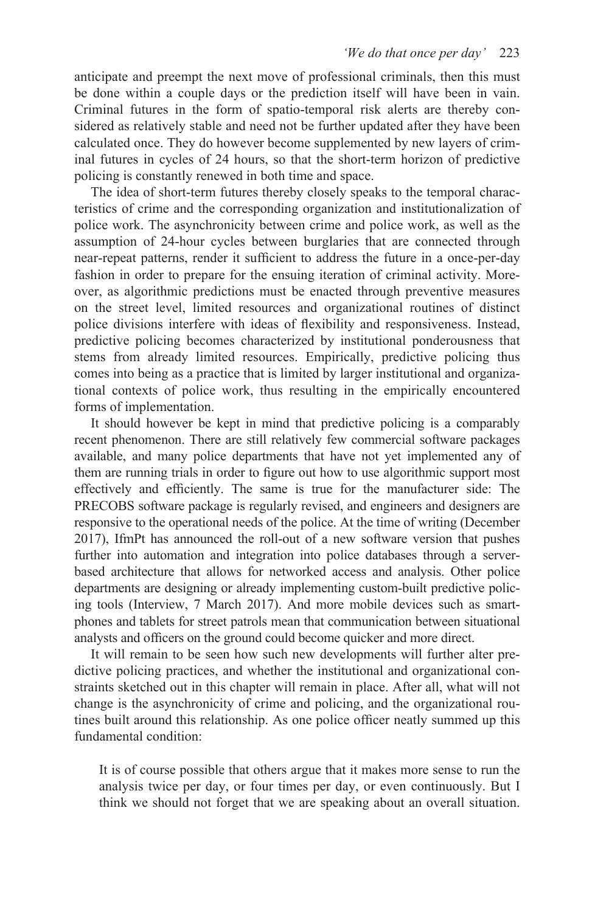anticipate and preempt the next move of professional criminals, then this must be done within a couple days or the prediction itself will have been in vain. Criminal futures in the form of spatio-temporal risk alerts are thereby considered as relatively stable and need not be further updated after they have been calculated once. They do however become supplemented by new layers of criminal futures in cycles of 24 hours, so that the short-term horizon of predictive policing is constantly renewed in both time and space.

The idea of short-term futures thereby closely speaks to the temporal characteristics of crime and the corresponding organization and institutionalization of police work. The asynchronicity between crime and police work, as well as the assumption of 24-hour cycles between burglaries that are connected through near-repeat patterns, render it sufficient to address the future in a once-per-day fashion in order to prepare for the ensuing iteration of criminal activity. Moreover, as algorithmic predictions must be enacted through preventive measures on the street level, limited resources and organizational routines of distinct police divisions interfere with ideas of flexibility and responsiveness. Instead, predictive policing becomes characterized by institutional ponderousness that stems from already limited resources. Empirically, predictive policing thus comes into being as a practice that is limited by larger institutional and organizational contexts of police work, thus resulting in the empirically encountered forms of implementation.

It should however be kept in mind that predictive policing is a comparably recent phenomenon. There are still relatively few commercial software packages available, and many police departments that have not yet implemented any of them are running trials in order to figure out how to use algorithmic support most effectively and efficiently. The same is true for the manufacturer side: The PRECOBS software package is regularly revised, and engineers and designers are responsive to the operational needs of the police. At the time of writing (December 2017), IfmPt has announced the roll-out of a new software version that pushes further into automation and integration into police databases through a serverbased architecture that allows for networked access and analysis. Other police departments are designing or already implementing custom-built predictive policing tools (Interview, 7 March 2017). And more mobile devices such as smartphones and tablets for street patrols mean that communication between situational analysts and officers on the ground could become quicker and more direct.

It will remain to be seen how such new developments will further alter predictive policing practices, and whether the institutional and organizational constraints sketched out in this chapter will remain in place. After all, what will not change is the asynchronicity of crime and policing, and the organizational routines built around this relationship. As one police officer neatly summed up this fundamental condition:

It is of course possible that others argue that it makes more sense to run the analysis twice per day, or four times per day, or even continuously. But I think we should not forget that we are speaking about an overall situation.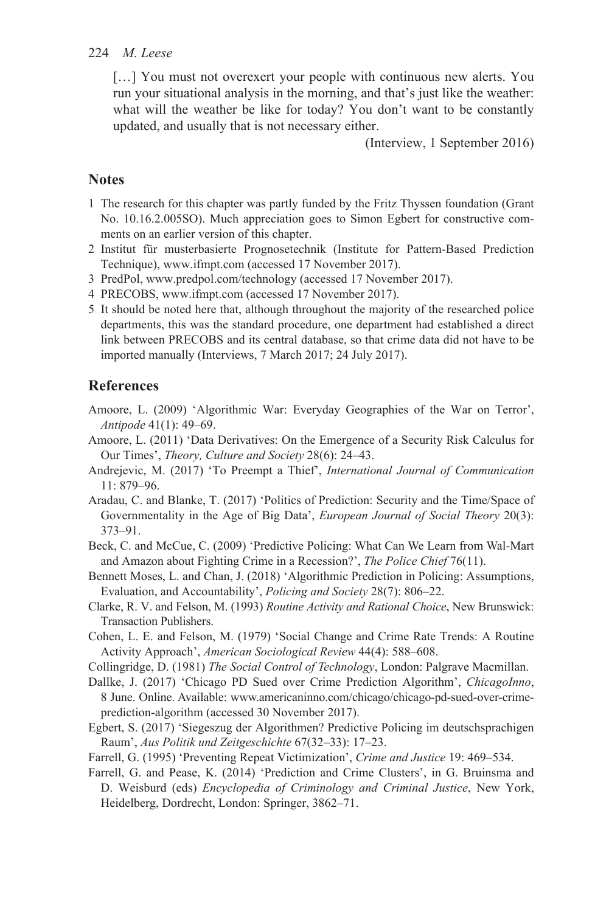[...] You must not overexert your people with continuous new alerts. You run your situational analysis in the morning, and that's just like the weather: what will the weather be like for today? You don't want to be constantly updated, and usually that is not necessary either.

(Interview, 1 September 2016)

## **Notes**

- [1](#page--1-0) The research for this chapter was partly funded by the Fritz Thyssen foundation (Grant No. 10.16.2.005SO). Much appreciation goes to Simon Egbert for constructive comments on an earlier version of this chapter.
- [2](#page--1-0) Institut für musterbasierte Prognosetechnik (Institute for Pattern-Based Prediction Technique), [www.ifmpt.com \(](www.ifmpt.com)accessed 17 November 2017).
- [3](#page--1-0) PredPol, [www.predpol.com/technology \(](www.predpol.com)accessed 17 November 2017).
- [4](#page--1-0) PRECOBS[, www.ifmpt.com \(](www.ifmpt.com)accessed 17 November 2017).
- [5](#page--1-0) It should be noted here that, although throughout the majority of the researched police departments, this was the standard procedure, one department had established a direct link between PRECOBS and its central database, so that crime data did not have to be imported manually (Interviews, 7 March 2017; 24 July 2017).

# **References**

- Amoore, L. (2009) 'Algorithmic War: Everyday Geographies of the War on Terror', *Antipode* 41(1): 49–69.
- Amoore, L. (2011) 'Data Derivatives: On the Emergence of a Security Risk Calculus for Our Times', *Theory, Culture and Society* 28(6): 24–43.
- Andrejevic, M. (2017) 'To Preempt a Thief', *International Journal of Communication*  11: 879–96.
- Aradau, C. and Blanke, T. (2017) 'Politics of Prediction: Security and the Time/Space of Governmentality in the Age of Big Data', *European Journal of Social Theory* 20(3): 373–91.
- Beck, C. and McCue, C. (2009) 'Predictive Policing: What Can We Learn from Wal-Mart and Amazon about Fighting Crime in a Recession?', *The Police Chief* 76(11).
- Bennett Moses, L. and Chan, J. (2018) 'Algorithmic Prediction in Policing: Assumptions, Evaluation, and Accountability', *Policing and Society* 28(7): 806–22.
- Clarke, R. V. and Felson, M. (1993) *Routine Activity and Rational Choice*, New Brunswick: Transaction Publishers.
- Cohen, L. E. and Felson, M. (1979) 'Social Change and Crime Rate Trends: A Routine Activity Approach', *American Sociological Review* 44(4): 588–608.
- Collingridge, D. (1981) *The Social Control of Technology*, London: Palgrave Macmillan.
- Dallke, J. (2017) 'Chicago PD Sued over Crime Prediction Algorithm', *ChicagoInno*, 8 June. Online. Available[: www.americaninno.com/chicago/chicago-pd-sued-over-crime](www.americaninno.com)[prediction-algorithm \(](www.americaninno.com)accessed 30 November 2017).
- Egbert, S. (2017) 'Siegeszug der Algorithmen? Predictive Policing im deutschsprachigen Raum', *Aus Politik und Zeitgeschichte* 67(32–33): 17–23.
- Farrell, G. (1995) 'Preventing Repeat Victimization', *Crime and Justice* 19: 469–534.
- Farrell, G. and Pease, K. (2014) 'Prediction and Crime Clusters', in G. Bruinsma and D. Weisburd (eds) *Encyclopedia of Criminology and Criminal Justice*, New York, Heidelberg, Dordrecht, London: Springer, 3862–71.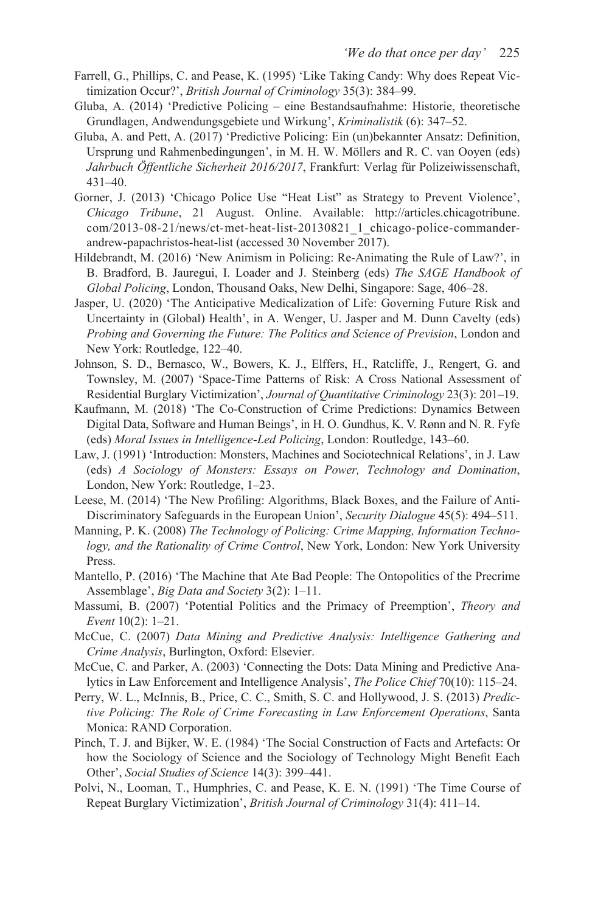- Farrell, G., Phillips, C. and Pease, K. (1995) 'Like Taking Candy: Why does Repeat Victimization Occur?', *British Journal of Criminology* 35(3): 384–99.
- Gluba, A. (2014) 'Predictive Policing eine Bestandsaufnahme: Historie, theoretische Grundlagen, Andwendungsgebiete und Wirkung', *Kriminalistik* (6): 347–52.
- Gluba, A. and Pett, A. (2017) 'Predictive Policing: Ein (un)bekannter Ansatz: Definition, Ursprung und Rahmenbedingungen', in M. H. W. Möllers and R. C. van Ooyen (eds) *Jahrbuch Öffentliche Sicherheit 2016/2017*, Frankfurt: Verlag für Polizeiwissenschaft, 431–40.
- Gorner, J. (2013) 'Chicago Police Use "Heat List" as Strategy to Prevent Violence', *Chicago Tribune*, 21 August. Online. Available: [http://articles.chicagotribune.](http://articles.chicagotribune.com)  [com/2013-08-21/news/ct-met-heat-list-20130821\\_1\\_chicago-police-commander](http://articles.chicagotribune.com)[andrew-papachristos-heat-list \(](http://articles.chicagotribune.com)accessed 30 November 2017).
- Hildebrandt, M. (2016) 'New Animism in Policing: Re-Animating the Rule of Law?', in B. Bradford, B. Jauregui, I. Loader and J. Steinberg (eds) *The SAGE Handbook of Global Policing*, London, Thousand Oaks, New Delhi, Singapore: Sage, 406–28.
- Jasper, U. (2020) 'The Anticipative Medicalization of Life: Governing Future Risk and Uncertainty in (Global) Health', in A. Wenger, U. Jasper and M. Dunn Cavelty (eds) *Probing and Governing the Future: The Politics and Science of Prevision*, London and New York: Routledge, 122–40.
- Johnson, S. D., Bernasco, W., Bowers, K. J., Elffers, H., Ratcliffe, J., Rengert, G. and Townsley, M. (2007) 'Space-Time Patterns of Risk: A Cross National Assessment of Residential Burglary Victimization', *Journal of Quantitative Criminology* 23(3): 201–19.
- Kaufmann, M. (2018) 'The Co-Construction of Crime Predictions: Dynamics Between Digital Data, Software and Human Beings', in H. O. Gundhus, K. V. Rønn and N. R. Fyfe (eds) *Moral Issues in Intelligence-Led Policing*, London: Routledge, 143–60.
- Law, J. (1991) 'Introduction: Monsters, Machines and Sociotechnical Relations', in J. Law (eds) *A Sociology of Monsters: Essays on Power, Technology and Domination*, London, New York: Routledge, 1–23.
- Leese, M. (2014) 'The New Profiling: Algorithms, Black Boxes, and the Failure of Anti-Discriminatory Safeguards in the European Union', *Security Dialogue* 45(5): 494–511.
- Manning, P. K. (2008) *The Technology of Policing: Crime Mapping, Information Technology, and the Rationality of Crime Control*, New York, London: New York University Press.
- Mantello, P. (2016) 'The Machine that Ate Bad People: The Ontopolitics of the Precrime Assemblage', *Big Data and Society* 3(2): 1–11.
- Massumi, B. (2007) 'Potential Politics and the Primacy of Preemption', *Theory and Event* 10(2): 1–21.
- McCue, C. (2007) *Data Mining and Predictive Analysis: Intelligence Gathering and Crime Analysis*, Burlington, Oxford: Elsevier.
- McCue, C. and Parker, A. (2003) 'Connecting the Dots: Data Mining and Predictive Analytics in Law Enforcement and Intelligence Analysis', *The Police Chief* 70(10): 115–24.
- Perry, W. L., McInnis, B., Price, C. C., Smith, S. C. and Hollywood, J. S. (2013) *Predictive Policing: The Role of Crime Forecasting in Law Enforcement Operations*, Santa Monica: RAND Corporation.
- Pinch, T. J. and Bijker, W. E. (1984) 'The Social Construction of Facts and Artefacts: Or how the Sociology of Science and the Sociology of Technology Might Benefit Each Other', *Social Studies of Science* 14(3): 399–441.
- Polvi, N., Looman, T., Humphries, C. and Pease, K. E. N. (1991) 'The Time Course of Repeat Burglary Victimization', *British Journal of Criminology* 31(4): 411–14.